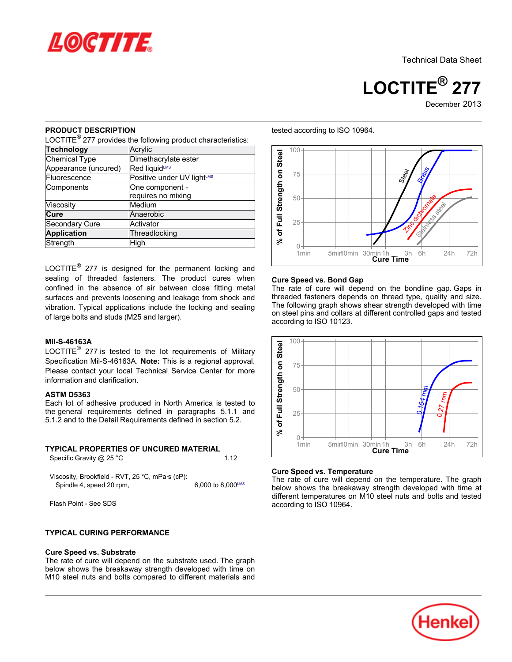

Technical Data Sheet

**LOCTITE® 277** December 2013

### **PRODUCT DESCRIPTION**

LOCTITE $^{\circledR}$  277 provides the following product characteristics:

| <b>Technology</b>    | Acrylic                    |
|----------------------|----------------------------|
| <b>Chemical Type</b> | Dimethacrylate ester       |
| Appearance (uncured) | Red liquidLMS              |
| Fluorescence         | Positive under UV lightLMS |
| Components           | One component -            |
|                      | requires no mixing         |
| Viscosity            | Medium                     |
| Cure                 | Anaerobic                  |
| Secondary Cure       | Activator                  |
| <b>Application</b>   | Threadlocking              |
| Strength             | High                       |

LOCTITE $^{\circledR}$  277 is designed for the permanent locking and sealing of threaded fasteners. The product cures when confined in the absence of air between close fitting metal surfaces and prevents loosening and leakage from shock and vibration. Typical applications include the locking and sealing of large bolts and studs (M25 and larger).

### **Mil-S-46163A**

LOCTITE $^{\circledR}$  277 is tested to the lot requirements of Military Specification Mil-S-46163A. **Note:** This is a regional approval. Please contact your local Technical Service Center for more information and clarification.

#### **ASTM D5363**

Each lot of adhesive produced in North America is tested to the general requirements defined in paragraphs 5.1.1 and 5.1.2 and to the Detail Requirements defined in section 5.2.

### **TYPICAL PROPERTIES OF UNCURED MATERIAL**

Specific Gravity @ 25 °C 1.12

Viscosity, Brookfield - RVT, 25 °C, mPa·s (cP): Spindle 4, speed 20 rpm,  $6,000$  to 8,000<sup>LMS</sup>

Flash Point - See SDS

### **TYPICAL CURING PERFORMANCE**

#### **Cure Speed vs. Substrate**

The rate of cure will depend on the substrate used. The graph below shows the breakaway strength developed with time on M10 steel nuts and bolts compared to different materials and



#### **Cure Speed vs. Bond Gap**

The rate of cure will depend on the bondline gap. Gaps in threaded fasteners depends on thread type, quality and size. The following graph shows shear strength developed with time on steel pins and collars at different controlled gaps and tested according to ISO 10123.



### **Cure Speed vs. Temperature**

The rate of cure will depend on the temperature. The graph below shows the breakaway strength developed with time at different temperatures on M10 steel nuts and bolts and tested according to ISO 10964.



#### tested according to ISO 10964.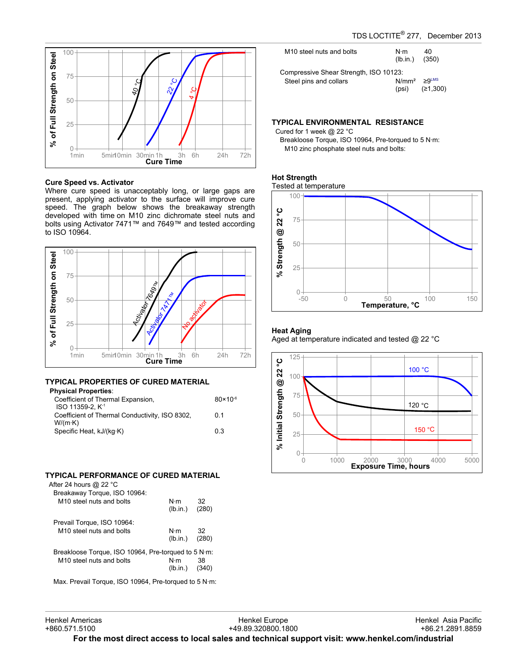

#### **Cure Speed vs. Activator**

Where cure speed is unacceptably long, or large gaps are present, applying activator to the surface will improve cure speed. The graph below shows the breakaway strength developed with time on M10 zinc dichromate steel nuts and bolts using Activator 7471™ and 7649™ and tested according to ISO 10964.



# **TYPICAL PROPERTIES OF CURED MATERIAL**

| <b>Physical Properties:</b>                    |                     |
|------------------------------------------------|---------------------|
| Coefficient of Thermal Expansion,              | $80 \times 10^{-6}$ |
| ISO 11359-2. K <sup>-1</sup>                   |                     |
| Coefficient of Thermal Conductivity, ISO 8302, | 0 1                 |
| $W/(m \cdot K)$                                |                     |
| Specific Heat, kJ/(kg·K)                       | 0.3                 |
|                                                |                     |

## **TYPICAL PERFORMANCE OF CURED MATERIAL**

| After 24 hours @ 22 °C                                |                         |             |
|-------------------------------------------------------|-------------------------|-------------|
| Breakaway Torque, ISO 10964:                          |                         |             |
| M <sub>10</sub> steel nuts and bolts                  | N·m<br>(lb.in.)         | 32<br>(280) |
| Prevail Torque, ISO 10964:                            |                         |             |
| M <sub>10</sub> steel nuts and bolts                  | N⋅m<br>$(lb.in.)$ (280) | 32          |
| Breakloose Torque, ISO 10964, Pre-torqued to 5 N·m:   |                         |             |
| M <sub>10</sub> steel nuts and bolts                  | N⋅m<br>$(Ib.in.)$ (340) | 38          |
| Max. Prevail Torque. ISO 10964. Pre-torqued to 5 N·m: |                         |             |

| M <sub>10</sub> steel nuts and bolts                             | N⋅m<br>$(lb.in.)$ (350)      | 40       |
|------------------------------------------------------------------|------------------------------|----------|
| Compressive Shear Strength, ISO 10123:<br>Steel pins and collars | $N/mm^2 \geq 9$ LMS<br>(psi) | (≥1,300) |

# **TYPICAL ENVIRONMENTAL RESISTANCE**

Cured for 1 week @ 22 °C Breakloose Torque, ISO 10964, Pre-torqued to 5 N·m: M10 zinc phosphate steel nuts and bolts:

### **Hot Strength**





### **Heat Aging**

Aged at temperature indicated and tested @ 22 °C

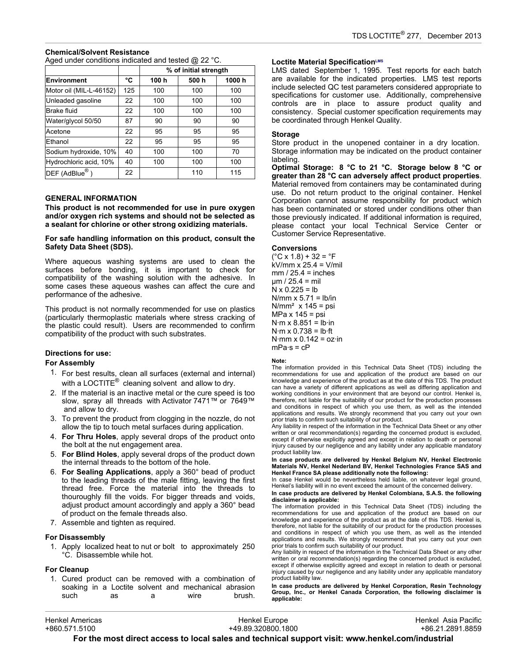## **Chemical/Solvent Resistance**

Aged under conditions indicated and tested @ 22 °C.

|                                |     | % of initial strength |      |       |
|--------------------------------|-----|-----------------------|------|-------|
| <b>Environment</b>             | °C  | 100 h                 | 500h | 1000h |
| Motor oil (MIL-L-46152)        | 125 | 100                   | 100  | 100   |
| Unleaded gasoline              | 22  | 100                   | 100  | 100   |
| <b>Brake fluid</b>             | 22  | 100                   | 100  | 100   |
| Water/glycol 50/50             | 87  | 90                    | 90   | 90    |
| Acetone                        | 22  | 95                    | 95   | 95    |
| Ethanol                        | 22  | 95                    | 95   | 95    |
| Sodium hydroxide, 10%          | 40  | 100                   | 100  | 70    |
| Hydrochloric acid, 10%         | 40  | 100                   | 100  | 100   |
| $\overline{\sf DEF}$ (AdBlue®) | 22  |                       | 110  | 115   |

### **GENERAL INFORMATION**

**This product is not recommended for use in pure oxygen and/or oxygen rich systems and should not be selected as a sealant for chlorine or other strong oxidizing materials.**

**For safe handling information on this product, consult the Safety Data Sheet (SDS).**

Where aqueous washing systems are used to clean the surfaces before bonding, it is important to check for compatibility of the washing solution with the adhesive. In some cases these aqueous washes can affect the cure and performance of the adhesive.

This product is not normally recommended for use on plastics (particularly thermoplastic materials where stress cracking of the plastic could result). Users are recommended to confirm compatibility of the product with such substrates.

### **Directions for use:**

### **For Assembly**

- 1. For best results, clean all surfaces (external and internal) with a LOCTITE $^{\circledR}$  cleaning solvent and allow to dry.
- 2. If the material is an inactive metal or the cure speed is too slow, spray all threads with Activator 7471™ or 7649™ and allow to dry.
- 3. To prevent the product from clogging in the nozzle, do not allow the tip to touch metal surfaces during application.
- 4. **For Thru Holes**, apply several drops of the product onto the bolt at the nut engagement area.
- 5. **For Blind Holes**, apply several drops of the product down the internal threads to the bottom of the hole.
- 6. **For Sealing Applications**, apply a 360° bead of product to the leading threads of the male fitting, leaving the first thread free. Force the material into the threads to thouroughly fill the voids. For bigger threads and voids, adjust product amount accordingly and apply a 360° bead of product on the female threads also.
- 7. Assemble and tighten as required.

### **For Disassembly**

1. Apply localized heat to nut or bolt to approximately 250 °C. Disassemble while hot.

### **For Cleanup**

1. Cured product can be removed with a combination of soaking in a Loctite solvent and mechanical abrasion such as a wire brush.

### **Loctite Material SpecificationLMS**

LMS dated September 1, 1995. Test reports for each batch are available for the indicated properties. LMS test reports include selected QC test parameters considered appropriate to specifications for customer use. Additionally, comprehensive controls are in place to assure product quality and consistency. Special customer specification requirements may be coordinated through Henkel Quality.

### **Storage**

Store product in the unopened container in a dry location. Storage information may be indicated on the product container labeling.

**Optimal Storage: 8 °C to 21 °C. Storage below 8 °C or greater than 28 °C can adversely affect product properties**. Material removed from containers may be contaminated during use. Do not return product to the original container. Henkel Corporation cannot assume responsibility for product which has been contaminated or stored under conditions other than those previously indicated. If additional information is required, please contact your local Technical Service Center or Customer Service Representative.

#### **Conversions**

 $(^{\circ}C$  x 1.8) + 32 =  $^{\circ}F$ kV/mm x 25.4 = V/mil  $mm / 25.4 = inches$  $\mu$ m / 25.4 = mil  $N \times 0.225 = lb$ N/mm  $x$  5.71 = lb/in  $N/mm<sup>2</sup>$  x 145 = psi MPa x 145 = psi  $N·m \times 8.851 = lb·in$  $N·m \times 0.738 = lb·ft$  $N·mm \times 0.142 = oz·in$  $mPa·s = cP$ 

#### **Note:**

The information provided in this Technical Data Sheet (TDS) including the recommendations for use and application of the product are based on our knowledge and experience of the product as at the date of this TDS. The product can have a variety of different applications as well as differing application and working conditions in your environment that are beyond our control. Henkel is, therefore, not liable for the suitability of our product for the production processes and conditions in respect of which you use them, as well as the intended applications and results. We strongly recommend that you carry out your own prior trials to confirm such suitability of our product.

Any liability in respect of the information in the Technical Data Sheet or any other written or oral recommendation(s) regarding the concerned product is excluded, except if otherwise explicitly agreed and except in relation to death or personal injury caused by our negligence and any liability under any applicable mandatory product liability law.

In case products are delivered by Henkel Belgium NV, Henkel Electronic<br>Materials NV, Henkel Nederland BV, Henkel Technologies France SAS and **Henkel France SA please additionally note the following:** 

In case Henkel would be nevertheless held liable, on whatever legal ground, Henkel's liability will in no event exceed the amount of the concerned delivery.

#### **In case products are delivered by Henkel Colombiana, S.A.S. the following disclaimer is applicable:**

The information provided in this Technical Data Sheet (TDS) including the recommendations for use and application of the product are based on our knowledge and experience of the product as at the date of this TDS. Henkel is, therefore, not liable for the suitability of our product for the production processes and conditions in respect of which you use them, as well as the intended applications and results. We strongly recommend that you carry out your own prior trials to confirm such suitability of our product.

Any liability in respect of the information in the Technical Data Sheet or any other written or oral recommendation(s) regarding the concerned product is excluded, except if otherwise explicitly agreed and except in relation to death or personal injury caused by our negligence and any liability under any applicable mandatory product liability law.

**In case products are delivered by Henkel Corporation, Resin Technology Group, Inc., or Henkel Canada Corporation, the following disclaimer is applicable:**

| <b>Henkel Americas</b>                                                                           | Henkel Europe      | Henkel Asia Pacific |  |  |
|--------------------------------------------------------------------------------------------------|--------------------|---------------------|--|--|
| +860.571.5100                                                                                    | +49.89.320800.1800 | +86.21.2891.8859    |  |  |
| For the most direct access to local sales and technical support visit: www.henkel.com/industrial |                    |                     |  |  |